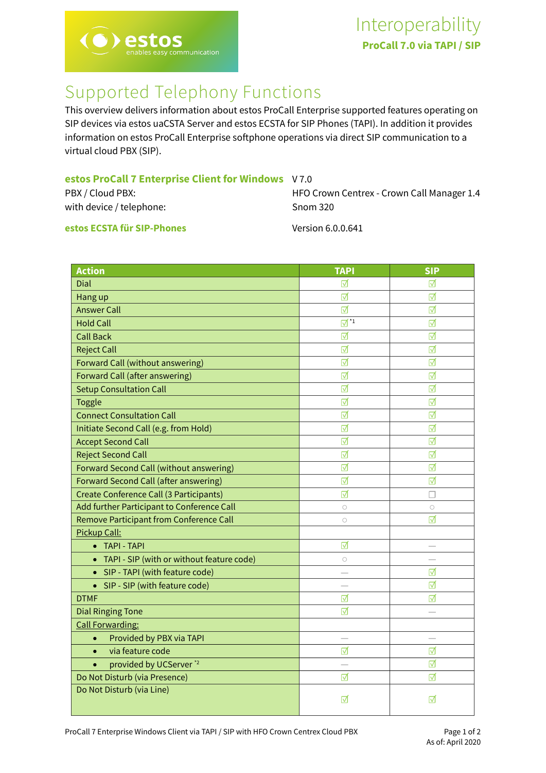

## Supported Telephony Functions

This overview delivers information about estos ProCall Enterprise supported features operating on SIP devices via estos uaCSTA Server and estos ECSTA for SIP Phones (TAPI). In addition it provides information on estos ProCall Enterprise softphone operations via direct SIP communication to a virtual cloud PBX (SIP).

| estos ProCall 7 Enterprise Client for Windows V7.0 |  |  |  |  |  |  |
|----------------------------------------------------|--|--|--|--|--|--|
|----------------------------------------------------|--|--|--|--|--|--|

| PBX / Cloud PBX:         | HFO Crown Centrex - Crown Call Manager 1.4 |
|--------------------------|--------------------------------------------|
| with device / telephone: | Snom 320                                   |
|                          |                                            |

**estos ECSTA für SIP-Phones** Version 6.0.0.641

| <b>Action</b>                                   | <b>TAPI</b>                       | <b>SIP</b>      |
|-------------------------------------------------|-----------------------------------|-----------------|
| Dial                                            | ☑                                 | ☑               |
| Hang up                                         | ☑                                 | ☑               |
| <b>Answer Call</b>                              | ☑                                 | ☑               |
| <b>Hold Call</b>                                | $\overline{\mathbb{M}}^{\star_1}$ | ☑               |
| <b>Call Back</b>                                | ☑                                 | ☑               |
| <b>Reject Call</b>                              | ☑                                 | ☑               |
| Forward Call (without answering)                | ☑                                 | ☑               |
| <b>Forward Call (after answering)</b>           | ⊽                                 | ⊺               |
| <b>Setup Consultation Call</b>                  | ☑                                 | ☑               |
| <b>Toggle</b>                                   | ☑                                 | ☑               |
| <b>Connect Consultation Call</b>                | ☑                                 | ⊽               |
| Initiate Second Call (e.g. from Hold)           | $\triangledown$                   | ⊽               |
| <b>Accept Second Call</b>                       | ⊽                                 | ⊽               |
| <b>Reject Second Call</b>                       | ☑                                 | ☑               |
| Forward Second Call (without answering)         | ☑                                 | ☑               |
| Forward Second Call (after answering)           | ☑                                 | ☑               |
| Create Conference Call (3 Participants)         | ☑                                 | H               |
| Add further Participant to Conference Call      | $\bigcirc$                        | $\circ$         |
| Remove Participant from Conference Call         | $\circ$                           | $\triangledown$ |
| Pickup Call:                                    |                                   |                 |
| • TAPI - TAPI                                   | ☑                                 |                 |
| TAPI - SIP (with or without feature code)       | $\bigcirc$                        |                 |
| • SIP - TAPI (with feature code)                |                                   | ⊽               |
| • SIP - SIP (with feature code)                 |                                   | ☑               |
| <b>DTMF</b>                                     | ☑                                 | ⊽               |
| <b>Dial Ringing Tone</b>                        | ☑                                 |                 |
| <b>Call Forwarding:</b>                         |                                   |                 |
| Provided by PBX via TAPI<br>$\bullet$           | $\overline{\phantom{0}}$          |                 |
| via feature code<br>$\bullet$                   | ☑                                 | ☑               |
| provided by UCServer <sup>*2</sup><br>$\bullet$ |                                   | ⊽               |
| Do Not Disturb (via Presence)                   | ⊽                                 | ☑               |
| Do Not Disturb (via Line)                       | ⊽                                 | ⊽               |